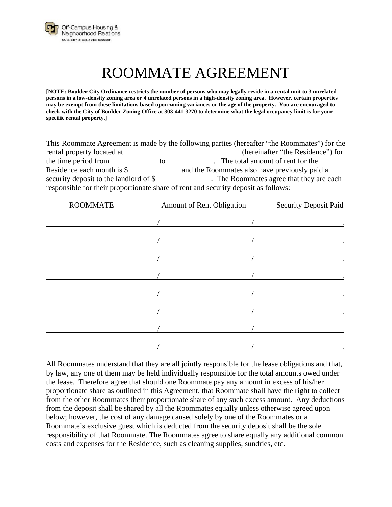

## ROOMMATE AGREEMENT

**[NOTE: Boulder City Ordinance restricts the number of persons who may legally reside in a rental unit to 3 unrelated persons in a low-density zoning area or 4 unrelated persons in a high-density zoning area. However, certain properties may be exempt from these limitations based upon zoning variances or the age of the property. You are encouraged to check with the City of Boulder Zoning Office at 303-441-3270 to determine what the legal occupancy limit is for your specific rental property.]** 

|                                                                                    |       | This Roommate Agreement is made by the following parties (hereafter "the Roommates") for the |  |  |  |
|------------------------------------------------------------------------------------|-------|----------------------------------------------------------------------------------------------|--|--|--|
| rental property located at                                                         |       | (hereinafter "the Residence") for                                                            |  |  |  |
| the time period from                                                               | to to | The total amount of rent for the                                                             |  |  |  |
| Residence each month is \$                                                         |       | and the Roommates also have previously paid a                                                |  |  |  |
|                                                                                    |       | security deposit to the landlord of \$                                                       |  |  |  |
| responsible for their proportionate share of rent and security deposit as follows: |       |                                                                                              |  |  |  |

| <b>ROOMMATE</b> | Amount of Rent Obligation |  |
|-----------------|---------------------------|--|
|                 |                           |  |
|                 |                           |  |
|                 |                           |  |
|                 |                           |  |
|                 |                           |  |
|                 |                           |  |
|                 |                           |  |
|                 |                           |  |
|                 |                           |  |

All Roommates understand that they are all jointly responsible for the lease obligations and that, by law, any one of them may be held individually responsible for the total amounts owed under the lease. Therefore agree that should one Roommate pay any amount in excess of his/her proportionate share as outlined in this Agreement, that Roommate shall have the right to collect from the other Roommates their proportionate share of any such excess amount. Any deductions from the deposit shall be shared by all the Roommates equally unless otherwise agreed upon below; however, the cost of any damage caused solely by one of the Roommates or a Roommate's exclusive guest which is deducted from the security deposit shall be the sole responsibility of that Roommate. The Roommates agree to share equally any additional common costs and expenses for the Residence, such as cleaning supplies, sundries, etc.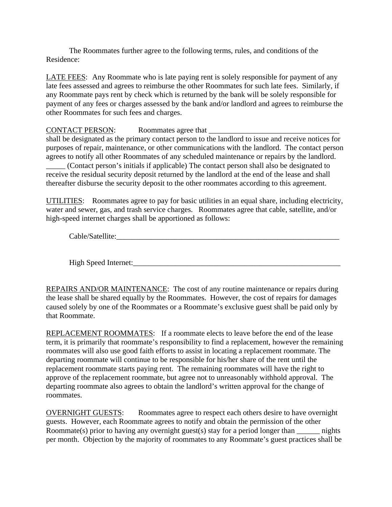The Roommates further agree to the following terms, rules, and conditions of the Residence:

LATE FEES: Any Roommate who is late paying rent is solely responsible for payment of any late fees assessed and agrees to reimburse the other Roommates for such late fees. Similarly, if any Roommate pays rent by check which is returned by the bank will be solely responsible for payment of any fees or charges assessed by the bank and/or landlord and agrees to reimburse the other Roommates for such fees and charges.

## CONTACT PERSON: Roommates agree that

shall be designated as the primary contact person to the landlord to issue and receive notices for purposes of repair, maintenance, or other communications with the landlord. The contact person agrees to notify all other Roommates of any scheduled maintenance or repairs by the landlord.

\_\_\_\_\_ (Contact person's initials if applicable) The contact person shall also be designated to receive the residual security deposit returned by the landlord at the end of the lease and shall thereafter disburse the security deposit to the other roommates according to this agreement.

UTILITIES: Roommates agree to pay for basic utilities in an equal share, including electricity, water and sewer, gas, and trash service charges. Roommates agree that cable, satellite, and/or high-speed internet charges shall be apportioned as follows:

Cable/Satellite:

High Speed Internet:

REPAIRS AND/OR MAINTENANCE: The cost of any routine maintenance or repairs during the lease shall be shared equally by the Roommates. However, the cost of repairs for damages caused solely by one of the Roommates or a Roommate's exclusive guest shall be paid only by that Roommate.

REPLACEMENT ROOMMATES: If a roommate elects to leave before the end of the lease term, it is primarily that roommate's responsibility to find a replacement, however the remaining roommates will also use good faith efforts to assist in locating a replacement roommate. The departing roommate will continue to be responsible for his/her share of the rent until the replacement roommate starts paying rent. The remaining roommates will have the right to approve of the replacement roommate, but agree not to unreasonably withhold approval. The departing roommate also agrees to obtain the landlord's written approval for the change of roommates.

OVERNIGHT GUESTS: Roommates agree to respect each others desire to have overnight guests. However, each Roommate agrees to notify and obtain the permission of the other Roommate(s) prior to having any overnight guest(s) stay for a period longer than  $\qquad$  nights per month. Objection by the majority of roommates to any Roommate's guest practices shall be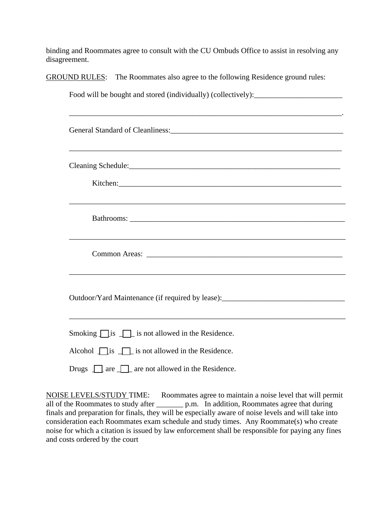binding and Roommates agree to consult with the CU Ombuds Office to assist in resolving any disagreement.

GROUND RULES: The Roommates also agree to the following Residence ground rules:

| Food will be bought and stored (individually) (collectively): __________________ |  |  |  |  |
|----------------------------------------------------------------------------------|--|--|--|--|
|                                                                                  |  |  |  |  |
|                                                                                  |  |  |  |  |
| ,我们也不会有什么。""我们的人,我们也不会有什么?""我们的人,我们也不会有什么?""我们的人,我们也不会有什么?""我们的人,我们也不会有什么?""我们的人 |  |  |  |  |
|                                                                                  |  |  |  |  |
|                                                                                  |  |  |  |  |
| ,我们也不会有什么。""我们的人,我们也不会有什么?""我们的人,我们也不会有什么?""我们的人,我们也不会有什么?""我们的人,我们也不会有什么?""我们的人 |  |  |  |  |
|                                                                                  |  |  |  |  |
|                                                                                  |  |  |  |  |
|                                                                                  |  |  |  |  |
| ,我们也不会有什么。""我们的人,我们也不会有什么?""我们的人,我们也不会有什么?""我们的人,我们也不会有什么?""我们的人,我们也不会有什么?""我们的人 |  |  |  |  |
|                                                                                  |  |  |  |  |
| Outdoor/Yard Maintenance (if required by lease): _______________________________ |  |  |  |  |
|                                                                                  |  |  |  |  |
| Smoking $\Box$ is $\Box$ is not allowed in the Residence.                        |  |  |  |  |
| Alcohol $\Box$ is $\Box$ is not allowed in the Residence.                        |  |  |  |  |
| Drugs $\[\]$ are $\[\]$ are not allowed in the Residence.                        |  |  |  |  |
|                                                                                  |  |  |  |  |

NOISE LEVELS/STUDY TIME: Roommates agree to maintain a noise level that will permit all of the Roommates to study after \_\_\_\_\_\_\_ p.m. In addition, Roommates agree that during finals and preparation for finals, they will be especially aware of noise levels and will take into consideration each Roommates exam schedule and study times. Any Roommate(s) who create noise for which a citation is issued by law enforcement shall be responsible for paying any fines and costs ordered by the court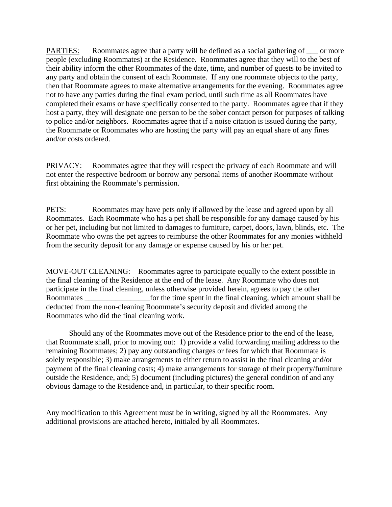PARTIES: Roommates agree that a party will be defined as a social gathering of  $\equiv$  or more people (excluding Roommates) at the Residence. Roommates agree that they will to the best of their ability inform the other Roommates of the date, time, and number of guests to be invited to any party and obtain the consent of each Roommate. If any one roommate objects to the party, then that Roommate agrees to make alternative arrangements for the evening. Roommates agree not to have any parties during the final exam period, until such time as all Roommates have completed their exams or have specifically consented to the party. Roommates agree that if they host a party, they will designate one person to be the sober contact person for purposes of talking to police and/or neighbors. Roommates agree that if a noise citation is issued during the party, the Roommate or Roommates who are hosting the party will pay an equal share of any fines and/or costs ordered.

PRIVACY: Roommates agree that they will respect the privacy of each Roommate and will not enter the respective bedroom or borrow any personal items of another Roommate without first obtaining the Roommate's permission.

PETS: Roommates may have pets only if allowed by the lease and agreed upon by all Roommates. Each Roommate who has a pet shall be responsible for any damage caused by his or her pet, including but not limited to damages to furniture, carpet, doors, lawn, blinds, etc. The Roommate who owns the pet agrees to reimburse the other Roommates for any monies withheld from the security deposit for any damage or expense caused by his or her pet.

MOVE-OUT CLEANING: Roommates agree to participate equally to the extent possible in the final cleaning of the Residence at the end of the lease. Any Roommate who does not participate in the final cleaning, unless otherwise provided herein, agrees to pay the other Roommates for the time spent in the final cleaning, which amount shall be deducted from the non-cleaning Roommate's security deposit and divided among the Roommates who did the final cleaning work.

Should any of the Roommates move out of the Residence prior to the end of the lease, that Roommate shall, prior to moving out: 1) provide a valid forwarding mailing address to the remaining Roommates; 2) pay any outstanding charges or fees for which that Roommate is solely responsible; 3) make arrangements to either return to assist in the final cleaning and/or payment of the final cleaning costs; 4) make arrangements for storage of their property/furniture outside the Residence, and; 5) document (including pictures) the general condition of and any obvious damage to the Residence and, in particular, to their specific room.

Any modification to this Agreement must be in writing, signed by all the Roommates. Any additional provisions are attached hereto, initialed by all Roommates.